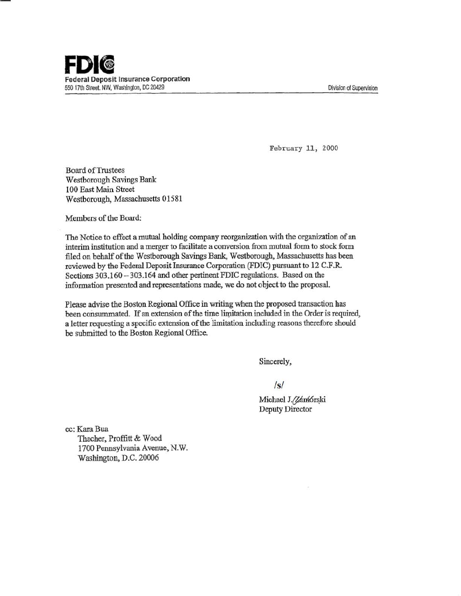**FDII ©**<br>Federal Deposit Insurance Corporation 550 17th Street. NW, Washington, DC 20429

Division of Supervision

February 11, 2000

Board of Trustees Westborough Savings Bank 100 East Main Street Westborough, Massachusetts 01581

Members of the Board:

The Notice to effect a mutual holding company reorganization with the organization of an interim institution and a merger to facilitate a conversion from mutual form to stock form filed on behalf of the Westborough Savings Bank, Westborough, Massachusetts bas been reviewed by the Federal Deposit Insurance Corporation (FDIC) pursuant to 12 C.F.R Sections 303.160 - 303.164 and other pertinent FDIC regulations. Based on the information presented and representations made, we do not object to the proposal.

Please advise the Boston Regional Office in writing when 1be proposed transaction has been consummated. If an extension of the time limitation included in the Order is required, a letter requesting a specific extension of the limitation including reasons therefore should be submitted to the Boston Regional Office.

Sincerely,

*Is/* 

Michael J. Zamórski Deputy Director

cc: Kara Bua Thacher, Proffitt & Wood 1700 Pennsylvania Avenue, N.W. Washington, D.C. 20006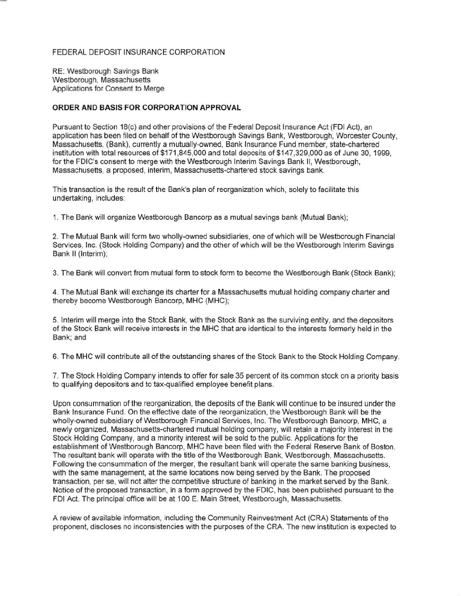## FEDERAL DEPOSIT INSURANCE CORPORATION

RE: Westborough Savings Bank Westborough, Massachusetts Applications for Consent to Merge

## **ORDER AND BASIS FOR CORPORATION APPROVAL**

Pursuant to Section 18(c) and other provisions of the Federal Deposit Insurance Act (FDI Act), an application has been filed on behalf of the Westborough Savings Bank, Westborough, Worcester County, Massachusetts, (Bank), currently a mutually-owned, Bank Insurance Fund member, state-chartered institution with total resources of \$171 ,845,000 and total deposits of \$147,329,000 as of June 30, 1999, for the FDIC's consent to merge with the Westborough Interim Savings Bank II, Westborough, Massachusetts, a proposed, interim, Massachusetts-chartered stock savings bank.

This transaction is the result of the Bank's plan of reorganization which, solely to facilitate this undertaking, includes:

1. The Bank will organize Westborough Bancorp as a mutual savings bank (Mutual Bank);

2. The Mutual Bank will form two wholly-owned subsidiaries, one of which will be Westborough Financial Services, Inc. (Stock Holding Company) and the other of which will be the Westborough Interim Savings Bank II (Interim);

3. The Bank will convert from mutual form to stock form to become the Westborough Bank (Stock Bank);

4. The Mutual Bank will exchange its charter for a Massachusetts mutual holding company charter and thereby become Westborough Bancorp, MHC (MHC);

5. Interim will merge into the Stock Bank, with the Stock Bank as the surviving entity, and the depositors of the Stock Bank will receive interests in the MHC that are identical to the interests formerly held in the Bank; and

6. The MHC will contribute all of the outstanding shares of the Stock Bank to the Stock Holding Company.

7. The Stock Holding Company intends to offer for sale 35 percent of its common stock on a priority basis to qualifying depositors and to tax-qualified employee benefit plans.

Upon consummation of the reorganization, the deposits of the Bank will continue to be insured under the Bank Insurance Fund. On the effective date of the reorganization, the Westborough Bank will be the wholly-owned subsidiary of Westborough Financial Services, Inc. The Westborough Bancorp, MHC, a newly organized, Massachusetts-chartered mutual holding company, will retain a majority interest in the Stock Holding Company, and a minority interest will be sold to the public. Applications for the establishment of Westborough Bancorp, MHC have been filed with the Federal Reserve Bank of Boston. The resultant bank will operate with the title of the Westborough Bank, Westborough, Massachusetts. Following the consummation of the merger, the resultant bank will operate the same banking business, with the same management, at the same locations now being served by the Bank. The proposed transaction, per se, will not alter the competitive structure of banking in the market served by the Bank. Notice of the proposed transaction, in a form approved by the FDIC, has been published pursuant to the FDI Act. The principal office will be at 100 E. Main Street, Westborough, Massachusetts.

A review of available information, including the Community Reinvestment Act (CRA) Statements of the proponent, discloses no inconsistencies with the purposes of the CRA. The new institution is expected to